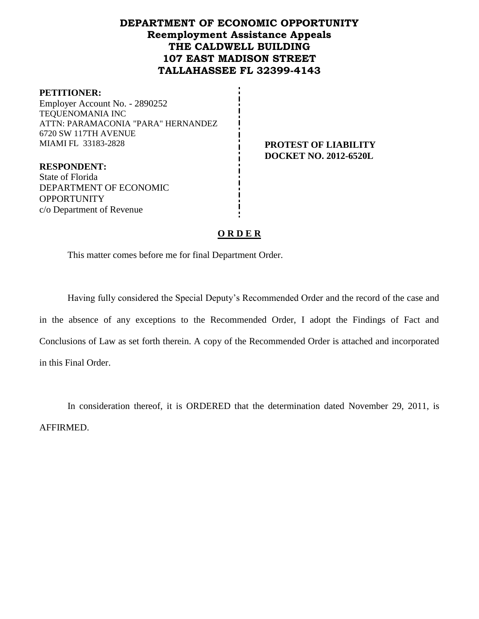# **DEPARTMENT OF ECONOMIC OPPORTUNITY Reemployment Assistance Appeals THE CALDWELL BUILDING 107 EAST MADISON STREET TALLAHASSEE FL 32399-4143**

#### **PETITIONER:**

Employer Account No. - 2890252 TEQUENOMANIA INC ATTN: PARAMACONIA "PARA" HERNANDEZ 6720 SW 117TH AVENUE MIAMI FL 33183-2828 **PROTEST OF LIABILITY**

**DOCKET NO. 2012-6520L**

**RESPONDENT:** State of Florida DEPARTMENT OF ECONOMIC **OPPORTUNITY** c/o Department of Revenue

### **O R D E R**

This matter comes before me for final Department Order.

Having fully considered the Special Deputy's Recommended Order and the record of the case and in the absence of any exceptions to the Recommended Order, I adopt the Findings of Fact and Conclusions of Law as set forth therein. A copy of the Recommended Order is attached and incorporated in this Final Order.

In consideration thereof, it is ORDERED that the determination dated November 29, 2011, is AFFIRMED.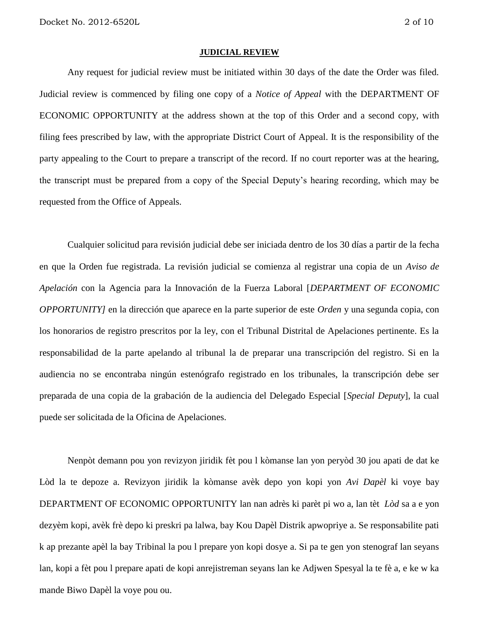#### **JUDICIAL REVIEW**

Any request for judicial review must be initiated within 30 days of the date the Order was filed. Judicial review is commenced by filing one copy of a *Notice of Appeal* with the DEPARTMENT OF ECONOMIC OPPORTUNITY at the address shown at the top of this Order and a second copy, with filing fees prescribed by law, with the appropriate District Court of Appeal. It is the responsibility of the party appealing to the Court to prepare a transcript of the record. If no court reporter was at the hearing, the transcript must be prepared from a copy of the Special Deputy's hearing recording, which may be requested from the Office of Appeals.

Cualquier solicitud para revisión judicial debe ser iniciada dentro de los 30 días a partir de la fecha en que la Orden fue registrada. La revisión judicial se comienza al registrar una copia de un *Aviso de Apelación* con la Agencia para la Innovación de la Fuerza Laboral [*DEPARTMENT OF ECONOMIC OPPORTUNITY]* en la dirección que aparece en la parte superior de este *Orden* y una segunda copia, con los honorarios de registro prescritos por la ley, con el Tribunal Distrital de Apelaciones pertinente. Es la responsabilidad de la parte apelando al tribunal la de preparar una transcripción del registro. Si en la audiencia no se encontraba ningún estenógrafo registrado en los tribunales, la transcripción debe ser preparada de una copia de la grabación de la audiencia del Delegado Especial [*Special Deputy*], la cual puede ser solicitada de la Oficina de Apelaciones.

Nenpòt demann pou yon revizyon jiridik fèt pou l kòmanse lan yon peryòd 30 jou apati de dat ke Lòd la te depoze a. Revizyon jiridik la kòmanse avèk depo yon kopi yon *Avi Dapèl* ki voye bay DEPARTMENT OF ECONOMIC OPPORTUNITY lan nan adrès ki parèt pi wo a, lan tèt *Lòd* sa a e yon dezyèm kopi, avèk frè depo ki preskri pa lalwa, bay Kou Dapèl Distrik apwopriye a. Se responsabilite pati k ap prezante apèl la bay Tribinal la pou l prepare yon kopi dosye a. Si pa te gen yon stenograf lan seyans lan, kopi a fèt pou l prepare apati de kopi anrejistreman seyans lan ke Adjwen Spesyal la te fè a, e ke w ka mande Biwo Dapèl la voye pou ou.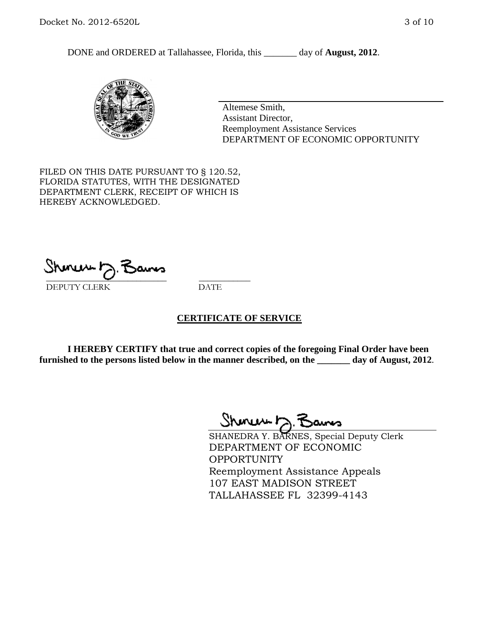DONE and ORDERED at Tallahassee, Florida, this \_\_\_\_\_\_\_ day of **August, 2012**.



Altemese Smith, Assistant Director, Reemployment Assistance Services DEPARTMENT OF ECONOMIC OPPORTUNITY

FILED ON THIS DATE PURSUANT TO § 120.52, FLORIDA STATUTES, WITH THE DESIGNATED DEPARTMENT CLERK, RECEIPT OF WHICH IS HEREBY ACKNOWLEDGED.

 $\mathcal{S}$ hmun $\mapsto$   $\mathcal{S}$ amo DEPUTY CLERK DATE

## **CERTIFICATE OF SERVICE**

**I HEREBY CERTIFY that true and correct copies of the foregoing Final Order have been furnished to the persons listed below in the manner described, on the \_\_\_\_\_\_\_ day of August, 2012**.

Shmun 12.Z

SHANEDRA Y. BARNES, Special Deputy Clerk DEPARTMENT OF ECONOMIC OPPORTUNITY Reemployment Assistance Appeals 107 EAST MADISON STREET TALLAHASSEE FL 32399-4143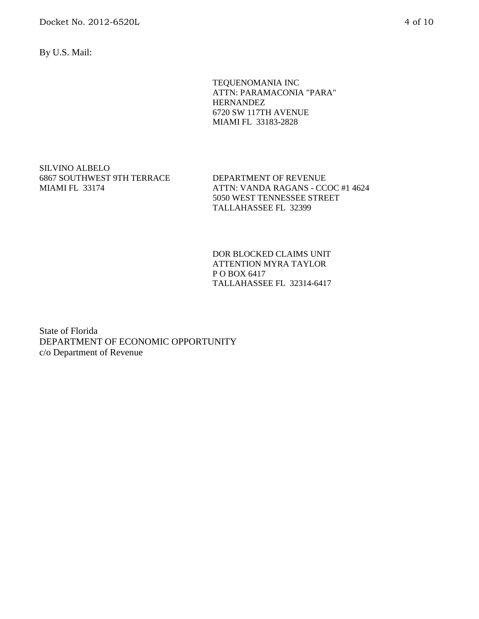By U.S. Mail:

TEQUENOMANIA INC ATTN: PARAMACONIA "PARA" HERNANDEZ 6720 SW 117TH AVENUE MIAMI FL 33183-2828

SILVINO ALBELO 6867 SOUTHWEST 9TH TERRACE MIAMI FL 33174

DEPARTMENT OF REVENUE ATTN: VANDA RAGANS - CCOC #1 4624 5050 WEST TENNESSEE STREET TALLAHASSEE FL 32399

DOR BLOCKED CLAIMS UNIT ATTENTION MYRA TAYLOR P O BOX 6417 TALLAHASSEE FL 32314-6417

State of Florida DEPARTMENT OF ECONOMIC OPPORTUNITY c/o Department of Revenue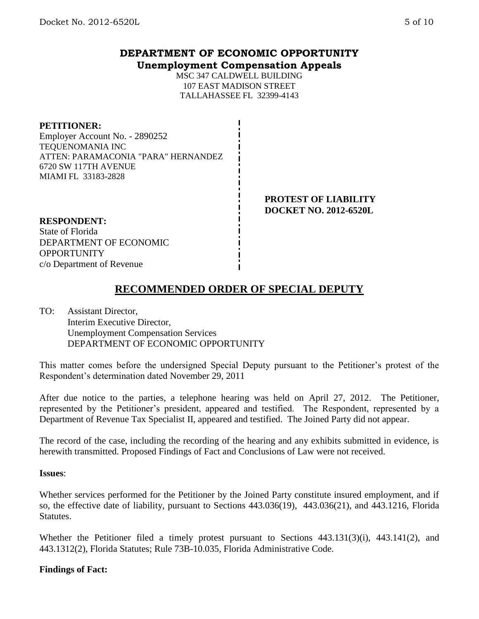# **DEPARTMENT OF ECONOMIC OPPORTUNITY Unemployment Compensation Appeals**

MSC 347 CALDWELL BUILDING 107 EAST MADISON STREET TALLAHASSEE FL 32399-4143

## **PETITIONER:**

Employer Account No. - 2890252 TEQUENOMANIA INC ATTEN: PARAMACONIA "PARA" HERNANDEZ 6720 SW 117TH AVENUE MIAMI FL 33183-2828

> **PROTEST OF LIABILITY DOCKET NO. 2012-6520L**

## **RESPONDENT:**

State of Florida DEPARTMENT OF ECONOMIC **OPPORTUNITY** c/o Department of Revenue

# **RECOMMENDED ORDER OF SPECIAL DEPUTY**

TO: Assistant Director, Interim Executive Director, Unemployment Compensation Services DEPARTMENT OF ECONOMIC OPPORTUNITY

This matter comes before the undersigned Special Deputy pursuant to the Petitioner's protest of the Respondent's determination dated November 29, 2011

After due notice to the parties, a telephone hearing was held on April 27, 2012. The Petitioner, represented by the Petitioner's president, appeared and testified. The Respondent, represented by a Department of Revenue Tax Specialist II, appeared and testified. The Joined Party did not appear.

The record of the case, including the recording of the hearing and any exhibits submitted in evidence, is herewith transmitted. Proposed Findings of Fact and Conclusions of Law were not received.

#### **Issues**:

Whether services performed for the Petitioner by the Joined Party constitute insured employment, and if so, the effective date of liability, pursuant to Sections 443.036(19), 443.036(21), and 443.1216, Florida Statutes.

Whether the Petitioner filed a timely protest pursuant to Sections 443.131(3)(i), 443.141(2), and 443.1312(2), Florida Statutes; Rule 73B-10.035, Florida Administrative Code.

## **Findings of Fact:**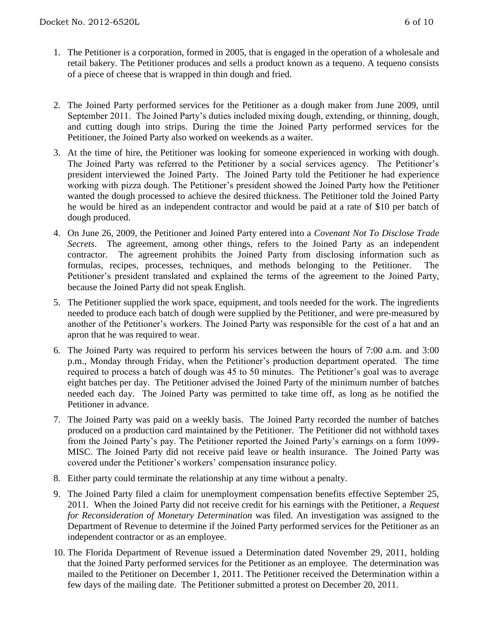- 1. The Petitioner is a corporation, formed in 2005, that is engaged in the operation of a wholesale and retail bakery. The Petitioner produces and sells a product known as a tequeno. A tequeno consists of a piece of cheese that is wrapped in thin dough and fried.
- 2. The Joined Party performed services for the Petitioner as a dough maker from June 2009, until September 2011. The Joined Party's duties included mixing dough, extending, or thinning, dough, and cutting dough into strips. During the time the Joined Party performed services for the Petitioner, the Joined Party also worked on weekends as a waiter.
- 3. At the time of hire, the Petitioner was looking for someone experienced in working with dough. The Joined Party was referred to the Petitioner by a social services agency. The Petitioner's president interviewed the Joined Party. The Joined Party told the Petitioner he had experience working with pizza dough. The Petitioner's president showed the Joined Party how the Petitioner wanted the dough processed to achieve the desired thickness. The Petitioner told the Joined Party he would be hired as an independent contractor and would be paid at a rate of \$10 per batch of dough produced.
- 4. On June 26, 2009, the Petitioner and Joined Party entered into a *Covenant Not To Disclose Trade Secrets*. The agreement, among other things, refers to the Joined Party as an independent contractor. The agreement prohibits the Joined Party from disclosing information such as formulas, recipes, processes, techniques, and methods belonging to the Petitioner. The Petitioner's president translated and explained the terms of the agreement to the Joined Party, because the Joined Party did not speak English.
- 5. The Petitioner supplied the work space, equipment, and tools needed for the work. The ingredients needed to produce each batch of dough were supplied by the Petitioner, and were pre-measured by another of the Petitioner's workers. The Joined Party was responsible for the cost of a hat and an apron that he was required to wear.
- 6. The Joined Party was required to perform his services between the hours of 7:00 a.m. and 3:00 p.m., Monday through Friday, when the Petitioner's production department operated. The time required to process a batch of dough was 45 to 50 minutes. The Petitioner's goal was to average eight batches per day. The Petitioner advised the Joined Party of the minimum number of batches needed each day. The Joined Party was permitted to take time off, as long as he notified the Petitioner in advance.
- 7. The Joined Party was paid on a weekly basis. The Joined Party recorded the number of batches produced on a production card maintained by the Petitioner. The Petitioner did not withhold taxes from the Joined Party's pay. The Petitioner reported the Joined Party's earnings on a form 1099- MISC. The Joined Party did not receive paid leave or health insurance. The Joined Party was covered under the Petitioner's workers' compensation insurance policy.
- 8. Either party could terminate the relationship at any time without a penalty.
- 9. The Joined Party filed a claim for unemployment compensation benefits effective September 25, 2011. When the Joined Party did not receive credit for his earnings with the Petitioner, a *Request for Reconsideration of Monetary Determination* was filed. An investigation was assigned to the Department of Revenue to determine if the Joined Party performed services for the Petitioner as an independent contractor or as an employee.
- 10. The Florida Department of Revenue issued a Determination dated November 29, 2011, holding that the Joined Party performed services for the Petitioner as an employee. The determination was mailed to the Petitioner on December 1, 2011. The Petitioner received the Determination within a few days of the mailing date. The Petitioner submitted a protest on December 20, 2011.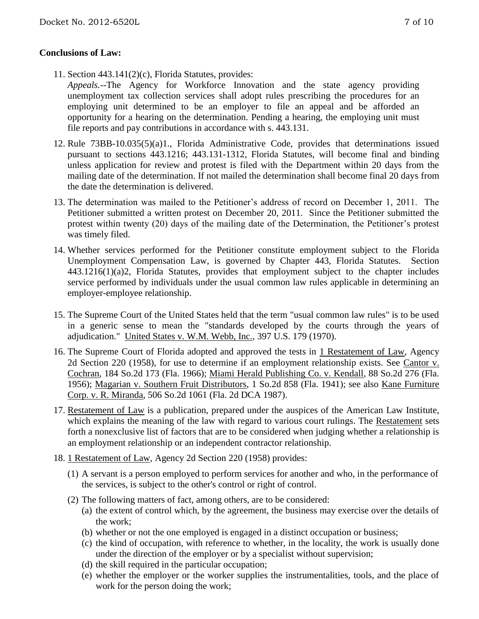## **Conclusions of Law:**

11. Section 443.141(2)(c), Florida Statutes, provides:

*Appeals.*--The Agency for Workforce Innovation and the state agency providing unemployment tax collection services shall adopt rules prescribing the procedures for an employing unit determined to be an employer to file an appeal and be afforded an opportunity for a hearing on the determination. Pending a hearing, the employing unit must file reports and pay contributions in accordance with s. 443.131.

- 12. Rule 73BB-10.035(5)(a)1., Florida Administrative Code, provides that determinations issued pursuant to sections 443.1216; 443.131-1312, Florida Statutes, will become final and binding unless application for review and protest is filed with the Department within 20 days from the mailing date of the determination. If not mailed the determination shall become final 20 days from the date the determination is delivered.
- 13. The determination was mailed to the Petitioner's address of record on December 1, 2011. The Petitioner submitted a written protest on December 20, 2011. Since the Petitioner submitted the protest within twenty (20) days of the mailing date of the Determination, the Petitioner's protest was timely filed.
- 14. Whether services performed for the Petitioner constitute employment subject to the Florida Unemployment Compensation Law, is governed by Chapter 443, Florida Statutes. Section 443.1216(1)(a)2, Florida Statutes, provides that employment subject to the chapter includes service performed by individuals under the usual common law rules applicable in determining an employer-employee relationship.
- 15. The Supreme Court of the United States held that the term "usual common law rules" is to be used in a generic sense to mean the "standards developed by the courts through the years of adjudication." United States v. W.M. Webb, Inc., 397 U.S. 179 (1970).
- 16. The Supreme Court of Florida adopted and approved the tests in 1 Restatement of Law, Agency 2d Section 220 (1958), for use to determine if an employment relationship exists. See Cantor v. Cochran, 184 So.2d 173 (Fla. 1966); Miami Herald Publishing Co. v. Kendall, 88 So.2d 276 (Fla. 1956); Magarian v. Southern Fruit Distributors, 1 So.2d 858 (Fla. 1941); see also Kane Furniture Corp. v. R. Miranda, 506 So.2d 1061 (Fla. 2d DCA 1987).
- 17. Restatement of Law is a publication, prepared under the auspices of the American Law Institute, which explains the meaning of the law with regard to various court rulings. The Restatement sets forth a nonexclusive list of factors that are to be considered when judging whether a relationship is an employment relationship or an independent contractor relationship.
- 18. 1 Restatement of Law, Agency 2d Section 220 (1958) provides:
	- (1) A servant is a person employed to perform services for another and who, in the performance of the services, is subject to the other's control or right of control.
	- (2) The following matters of fact, among others, are to be considered:
		- (a) the extent of control which, by the agreement, the business may exercise over the details of the work;
		- (b) whether or not the one employed is engaged in a distinct occupation or business;
		- (c) the kind of occupation, with reference to whether, in the locality, the work is usually done under the direction of the employer or by a specialist without supervision;
		- (d) the skill required in the particular occupation;
		- (e) whether the employer or the worker supplies the instrumentalities, tools, and the place of work for the person doing the work;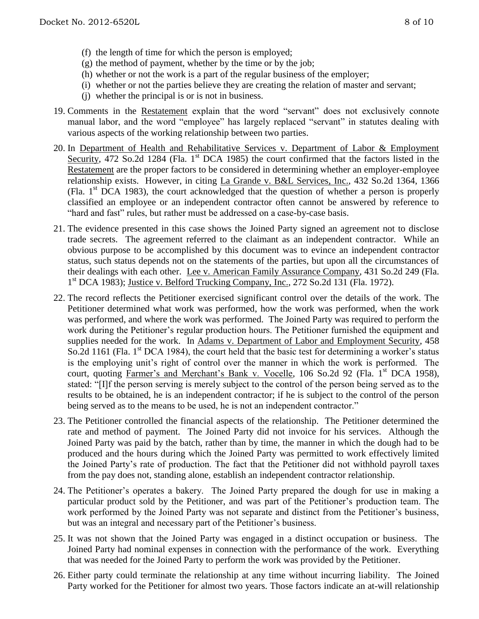- (f) the length of time for which the person is employed;
- $(g)$  the method of payment, whether by the time or by the job;
- (h) whether or not the work is a part of the regular business of the employer;
- (i) whether or not the parties believe they are creating the relation of master and servant;
- (j) whether the principal is or is not in business.
- 19. Comments in the Restatement explain that the word "servant" does not exclusively connote manual labor, and the word "employee" has largely replaced "servant" in statutes dealing with various aspects of the working relationship between two parties.
- 20. In Department of Health and Rehabilitative Services v. Department of Labor & Employment Security, 472 So.2d 1284 (Fla. 1<sup>st</sup> DCA 1985) the court confirmed that the factors listed in the Restatement are the proper factors to be considered in determining whether an employer-employee relationship exists. However, in citing La Grande v. B&L Services, Inc., 432 So.2d 1364, 1366 (Fla. 1st DCA 1983), the court acknowledged that the question of whether a person is properly classified an employee or an independent contractor often cannot be answered by reference to "hard and fast" rules, but rather must be addressed on a case-by-case basis.
- 21. The evidence presented in this case shows the Joined Party signed an agreement not to disclose trade secrets. The agreement referred to the claimant as an independent contractor. While an obvious purpose to be accomplished by this document was to evince an independent contractor status, such status depends not on the statements of the parties, but upon all the circumstances of their dealings with each other. Lee v. American Family Assurance Company, 431 So.2d 249 (Fla. 1<sup>st</sup> DCA 1983); Justice v. Belford Trucking Company, Inc., 272 So.2d 131 (Fla. 1972).
- 22. The record reflects the Petitioner exercised significant control over the details of the work. The Petitioner determined what work was performed, how the work was performed, when the work was performed, and where the work was performed. The Joined Party was required to perform the work during the Petitioner's regular production hours. The Petitioner furnished the equipment and supplies needed for the work. In Adams v. Department of Labor and Employment Security, 458 So.2d 1161 (Fla.  $1<sup>st</sup>$  DCA 1984), the court held that the basic test for determining a worker's status is the employing unit's right of control over the manner in which the work is performed. The court, quoting Farmer's and Merchant's Bank v. Vocelle, 106 So.2d 92 (Fla. 1<sup>st</sup> DCA 1958), stated: "[I]f the person serving is merely subject to the control of the person being served as to the results to be obtained, he is an independent contractor; if he is subject to the control of the person being served as to the means to be used, he is not an independent contractor."
- 23. The Petitioner controlled the financial aspects of the relationship. The Petitioner determined the rate and method of payment. The Joined Party did not invoice for his services. Although the Joined Party was paid by the batch, rather than by time, the manner in which the dough had to be produced and the hours during which the Joined Party was permitted to work effectively limited the Joined Party's rate of production. The fact that the Petitioner did not withhold payroll taxes from the pay does not, standing alone, establish an independent contractor relationship.
- 24. The Petitioner's operates a bakery. The Joined Party prepared the dough for use in making a particular product sold by the Petitioner, and was part of the Petitioner's production team. The work performed by the Joined Party was not separate and distinct from the Petitioner's business, but was an integral and necessary part of the Petitioner's business.
- 25. It was not shown that the Joined Party was engaged in a distinct occupation or business. The Joined Party had nominal expenses in connection with the performance of the work. Everything that was needed for the Joined Party to perform the work was provided by the Petitioner.
- 26. Either party could terminate the relationship at any time without incurring liability. The Joined Party worked for the Petitioner for almost two years. Those factors indicate an at-will relationship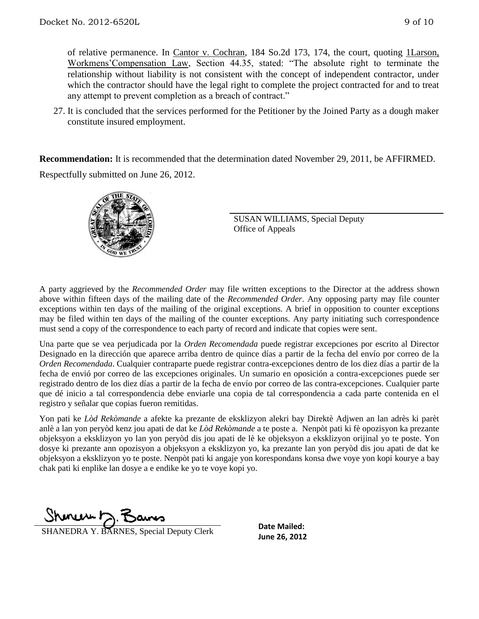of relative permanence. In Cantor v. Cochran, 184 So.2d 173, 174, the court, quoting 1Larson, Workmens'Compensation Law, Section 44.35, stated: "The absolute right to terminate the relationship without liability is not consistent with the concept of independent contractor, under which the contractor should have the legal right to complete the project contracted for and to treat any attempt to prevent completion as a breach of contract."

27. It is concluded that the services performed for the Petitioner by the Joined Party as a dough maker constitute insured employment.

**Recommendation:** It is recommended that the determination dated November 29, 2011, be AFFIRMED. Respectfully submitted on June 26, 2012.



SUSAN WILLIAMS, Special Deputy Office of Appeals

A party aggrieved by the *Recommended Order* may file written exceptions to the Director at the address shown above within fifteen days of the mailing date of the *Recommended Order*. Any opposing party may file counter exceptions within ten days of the mailing of the original exceptions. A brief in opposition to counter exceptions may be filed within ten days of the mailing of the counter exceptions. Any party initiating such correspondence must send a copy of the correspondence to each party of record and indicate that copies were sent.

Una parte que se vea perjudicada por la *Orden Recomendada* puede registrar excepciones por escrito al Director Designado en la dirección que aparece arriba dentro de quince días a partir de la fecha del envío por correo de la *Orden Recomendada*. Cualquier contraparte puede registrar contra-excepciones dentro de los diez días a partir de la fecha de envió por correo de las excepciones originales. Un sumario en oposición a contra-excepciones puede ser registrado dentro de los diez días a partir de la fecha de envío por correo de las contra-excepciones. Cualquier parte que dé inicio a tal correspondencia debe enviarle una copia de tal correspondencia a cada parte contenida en el registro y señalar que copias fueron remitidas.

Yon pati ke *Lòd Rekòmande* a afekte ka prezante de eksklizyon alekri bay Direktè Adjwen an lan adrès ki parèt anlè a lan yon peryòd kenz jou apati de dat ke *Lòd Rekòmande* a te poste a. Nenpòt pati ki fè opozisyon ka prezante objeksyon a eksklizyon yo lan yon peryòd dis jou apati de lè ke objeksyon a eksklizyon orijinal yo te poste. Yon dosye ki prezante ann opozisyon a objeksyon a eksklizyon yo, ka prezante lan yon peryòd dis jou apati de dat ke objeksyon a eksklizyon yo te poste. Nenpòt pati ki angaje yon korespondans konsa dwe voye yon kopi kourye a bay chak pati ki enplike lan dosye a e endike ke yo te voye kopi yo.

Shown D. B

**SHANEDRA Y. BARNES, Special Deputy Clerk June 26, 2012** 

**Date Mailed:**